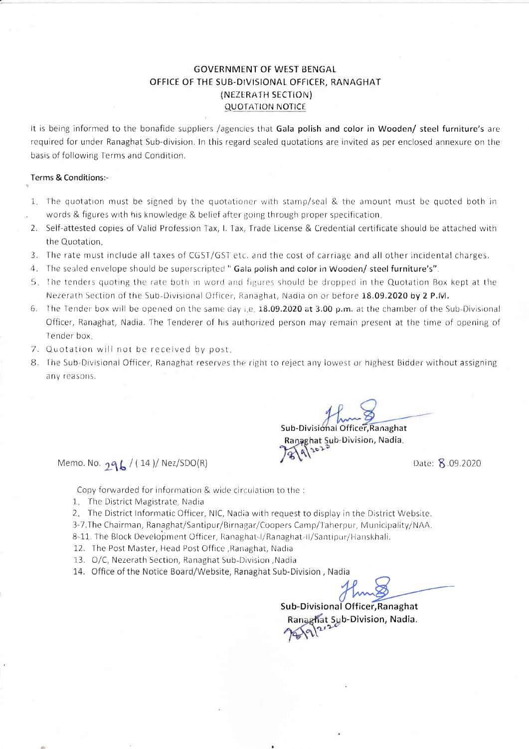## **GOVERNMENT OF WEST BENGAL** OFFICE OF THE SUB-DIVISIONAL OFFICER, RANAGHAT (NEZERATH SECTION) QUOTATION NOTICE

It is being informed to the bonafide suppliers /agencies that Gala polish and color in Wooden/ steel furniture's are required for under Ranaghat Sub-division. ln this regard sealed quotations are invited as per enclosed annexure on the basis of following Terms and Condition.

## Terms & Conditions:-

- 1. The quotation must be signed by the quotationer with stamp/seal & the amount must be quoted both in words & figures with his knowledge & belief after going through proper specification
- 2. Self-attested copies of Valid Profession Tax, I. Tax, Trade License & Credential certificate should be attached with the Quotation
- 3. The rate must include all taxes of CGST/GST etc. and the cost of carriage and all other incidental charges.
- 4. The sealed envelope should be superscripted " Gala polish and color in Wooden/ steel furniture's".
- 5. The tenders quoting the rate both in word and figures should be dropped in the Quotation Box kept at the Nezerath Section of the Sub-Divisional Officer, Ranaghat, Nadia on or before 18.09.2020 by 2 P.M.
- 6. The Tender box will be opened on the same day i.e.  $18.09.2020$  at  $3.00$  p.m. at the chamber of the Sub-Divisional Officer, Ranaghat, Nadia. The Tenderer of his authorized person may remain present at the time of opening of <sup>I</sup>ender box
- 7. Quotation will not be received by post.
- 8. The Sub-Divisional Officer, Ranaghat reserves the right to reject any lowest or highest Bidder without assigning any reasons.

Sub-Divisional Officer, Ranaghat Ranaghat Sub-Division, Nadia.

Memo. No.  $\eta q_L / (14) / \text{Nez/SDO(R)}$  (14 )/ Nez/SDO(R)

Copy forwarded for information & wide circulation to the :

- 1. The District Magistrate, Nadia
- 2. The District Informatic Officer, NIC, Nadia with request to display in the District Website.
- 3-7. The Chairman, Ranaghat/Santipur/Birnagar/Coopers Camp/Taherpur, Municipality/NAA.
- 8-11. The Block Development Officer, Ranaghat-I/Ranaghat-II/Santipur/Hanskhali,
- 12. The Post Master, Head Post Office, Ranaghat, Nadia
- 13. O/C, Nezerath Section, Ranaghat Sub-Division, Nadia
- 14. Office of the Notice Board/Website, Ranaghat Sub-Division, Nadia

adia<br>Ib-Division , Nadia<br>Sub-Divisional Officer, Ranaghat

Ranaghat Sub-Division, Nadia.